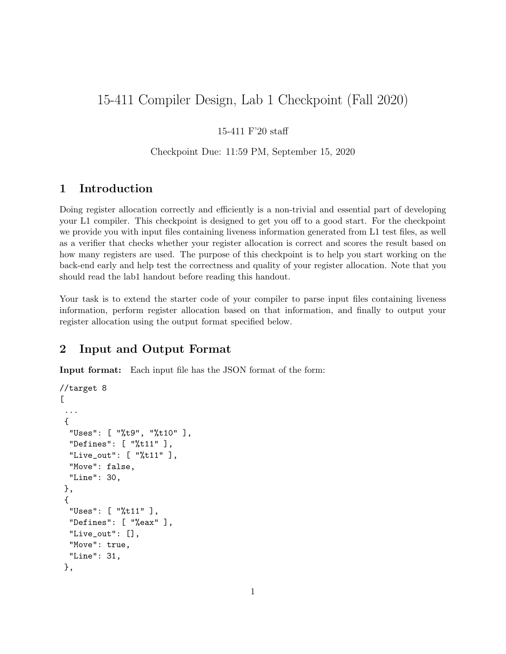# 15-411 Compiler Design, Lab 1 Checkpoint (Fall 2020)

#### 15-411 F'20 staff

#### Checkpoint Due: 11:59 PM, September 15, 2020

### 1 Introduction

Doing register allocation correctly and efficiently is a non-trivial and essential part of developing your L1 compiler. This checkpoint is designed to get you off to a good start. For the checkpoint we provide you with input files containing liveness information generated from L1 test files, as well as a verifier that checks whether your register allocation is correct and scores the result based on how many registers are used. The purpose of this checkpoint is to help you start working on the back-end early and help test the correctness and quality of your register allocation. Note that you should read the lab1 handout before reading this handout.

Your task is to extend the starter code of your compiler to parse input files containing liveness information, perform register allocation based on that information, and finally to output your register allocation using the output format specified below.

### 2 Input and Output Format

Input format: Each input file has the JSON format of the form:

```
//target 8
\Gamma...
 {
  "Uses": [ "%t9", "%t10" ],
  "Defines": [ "%t11" ],
  "Live_out": [ "%t11" ],
  "Move": false,
  "Line": 30,
 },
 {
  "Uses": [ "%t11" ],
  "Defines": [ "%eax" ],
  "Live_out": [],
  "Move": true,
  "Line": 31,
 },
```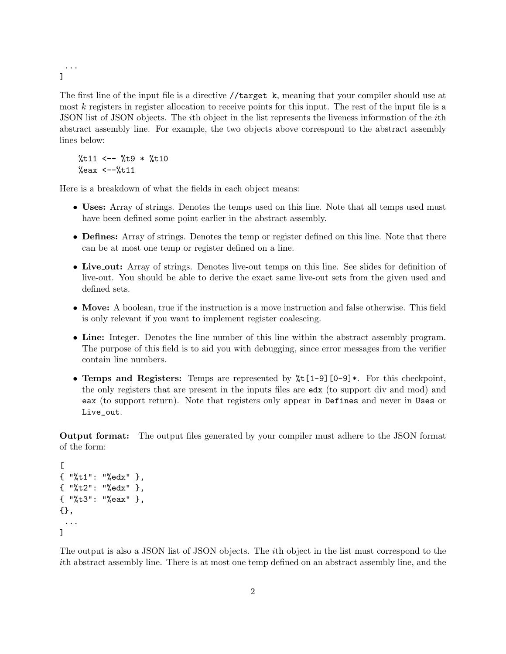... ]

The first line of the input file is a directive //target k, meaning that your compiler should use at most k registers in register allocation to receive points for this input. The rest of the input file is a JSON list of JSON objects. The ith object in the list represents the liveness information of the ith abstract assembly line. For example, the two objects above correspond to the abstract assembly lines below:

 $%t11$  <--  $%t9$  \*  $%t10$  $\%$ eax <-- $\%$ t11

Here is a breakdown of what the fields in each object means:

- Uses: Array of strings. Denotes the temps used on this line. Note that all temps used must have been defined some point earlier in the abstract assembly.
- Defines: Array of strings. Denotes the temp or register defined on this line. Note that there can be at most one temp or register defined on a line.
- Live<sub>-out:</sub> Array of strings. Denotes live-out temps on this line. See slides for definition of live-out. You should be able to derive the exact same live-out sets from the given used and defined sets.
- Move: A boolean, true if the instruction is a move instruction and false otherwise. This field is only relevant if you want to implement register coalescing.
- Line: Integer. Denotes the line number of this line within the abstract assembly program. The purpose of this field is to aid you with debugging, since error messages from the verifier contain line numbers.
- Temps and Registers: Temps are represented by  $\frac{1}{2}$ t [1-9][0-9]\*. For this checkpoint, the only registers that are present in the inputs files are edx (to support div and mod) and eax (to support return). Note that registers only appear in Defines and never in Uses or Live\_out.

Output format: The output files generated by your compiler must adhere to the JSON format of the form:

```
\Gamma{ "%t1": "%edx" },
{ "%t2": "%edx" },
{ "%t3": "%eax" },
{},
 ...
\mathbf{I}
```
The output is also a JSON list of JSON objects. The ith object in the list must correspond to the ith abstract assembly line. There is at most one temp defined on an abstract assembly line, and the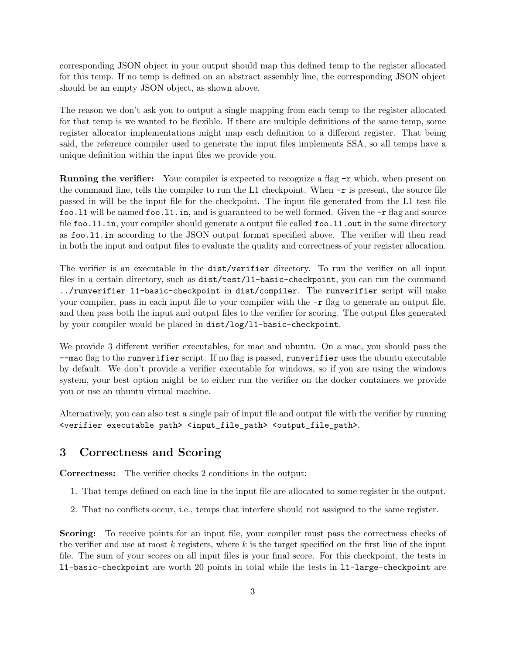corresponding JSON object in your output should map this defined temp to the register allocated for this temp. If no temp is defined on an abstract assembly line, the corresponding JSON object should be an empty JSON object, as shown above.

The reason we don't ask you to output a single mapping from each temp to the register allocated for that temp is we wanted to be flexible. If there are multiple definitions of the same temp, some register allocator implementations might map each definition to a different register. That being said, the reference compiler used to generate the input files implements SSA, so all temps have a unique definition within the input files we provide you.

**Running the verifier:** Your compiler is expected to recognize a flag  $-r$  which, when present on the command line, tells the compiler to run the L1 checkpoint. When  $-r$  is present, the source file passed in will be the input file for the checkpoint. The input file generated from the L1 test file foo. 11 will be named foo. 11. in, and is guaranteed to be well-formed. Given the  $-r$  flag and source file foo.11.in, your compiler should generate a output file called foo.11.out in the same directory as foo.l1.in according to the JSON output format specified above. The verifier will then read in both the input and output files to evaluate the quality and correctness of your register allocation.

The verifier is an executable in the dist/verifier directory. To run the verifier on all input files in a certain directory, such as  $dist/test/11$ -basic-checkpoint, you can run the command ../runverifier l1-basic-checkpoint in dist/compiler. The runverifier script will make your compiler, pass in each input file to your compiler with the  $-r$  flag to generate an output file, and then pass both the input and output files to the verifier for scoring. The output files generated by your compiler would be placed in dist/log/l1-basic-checkpoint.

We provide 3 different verifier executables, for mac and ubuntu. On a mac, you should pass the --mac flag to the runverifier script. If no flag is passed, runverifier uses the ubuntu executable by default. We don't provide a verifier executable for windows, so if you are using the windows system, your best option might be to either run the verifier on the docker containers we provide you or use an ubuntu virtual machine.

Alternatively, you can also test a single pair of input file and output file with the verifier by running <verifier executable path> <input\_file\_path> <output\_file\_path>.

#### 3 Correctness and Scoring

Correctness: The verifier checks 2 conditions in the output:

- 1. That temps defined on each line in the input file are allocated to some register in the output.
- 2. That no conflicts occur, i.e., temps that interfere should not assigned to the same register.

Scoring: To receive points for an input file, your compiler must pass the correctness checks of the verifier and use at most  $k$  registers, where  $k$  is the target specified on the first line of the input file. The sum of your scores on all input files is your final score. For this checkpoint, the tests in l1-basic-checkpoint are worth 20 points in total while the tests in l1-large-checkpoint are